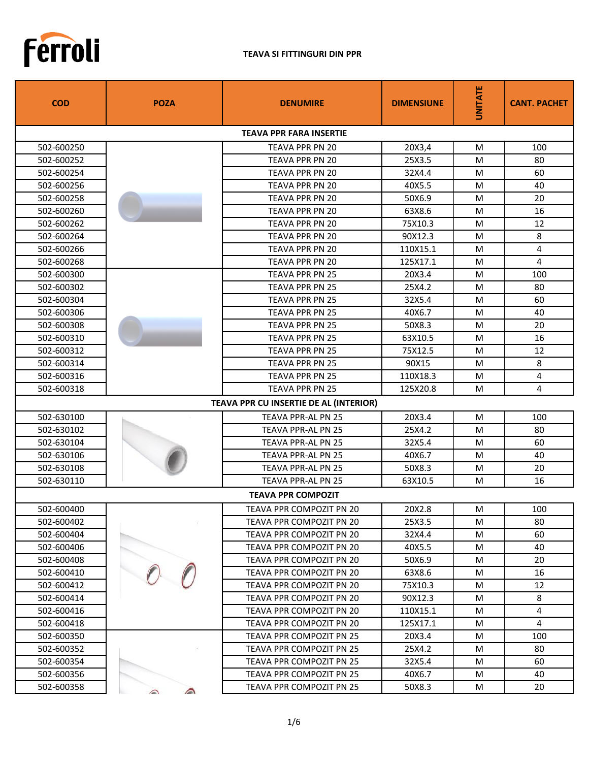

## **TEAVA SI FITTINGURI DIN PPR**

| <b>COD</b> | <b>POZA</b>        | <b>DENUMIRE</b>                        | <b>DIMENSIUNE</b> | <b>UNITATE</b> | <b>CANT. PACHET</b> |
|------------|--------------------|----------------------------------------|-------------------|----------------|---------------------|
|            |                    | <b>TEAVA PPR FARA INSERTIE</b>         |                   |                |                     |
| 502-600250 |                    | TEAVA PPR PN 20                        | 20X3,4            | м              | 100                 |
| 502-600252 |                    | <b>TEAVA PPR PN 20</b>                 | 25X3.5            | м              | 80                  |
| 502-600254 |                    | <b>TEAVA PPR PN 20</b>                 | 32X4.4            | м              | 60                  |
| 502-600256 |                    | <b>TEAVA PPR PN 20</b>                 | 40X5.5            | м              | 40                  |
| 502-600258 |                    | <b>TEAVA PPR PN 20</b>                 | 50X6.9            | м              | 20                  |
| 502-600260 |                    | TEAVA PPR PN 20                        | 63X8.6            | м              | 16                  |
| 502-600262 |                    | <b>TEAVA PPR PN 20</b>                 | 75X10.3           | м              | 12                  |
| 502-600264 |                    | <b>TEAVA PPR PN 20</b>                 | 90X12.3           | м              | 8                   |
| 502-600266 |                    | TEAVA PPR PN 20                        | 110X15.1          | м              | 4                   |
| 502-600268 |                    | <b>TEAVA PPR PN 20</b>                 | 125X17.1          | м              | 4                   |
| 502-600300 |                    | <b>TEAVA PPR PN 25</b>                 | 20X3.4            | м              | 100                 |
| 502-600302 |                    | <b>TEAVA PPR PN 25</b>                 | 25X4.2            | м              | 80                  |
| 502-600304 |                    | TEAVA PPR PN 25                        | 32X5.4            | м              | 60                  |
| 502-600306 |                    | <b>TEAVA PPR PN 25</b>                 | 40X6.7            | м              | 40                  |
| 502-600308 |                    | <b>TEAVA PPR PN 25</b>                 | 50X8.3            | м              | 20                  |
| 502-600310 |                    | TEAVA PPR PN 25                        | 63X10.5           | м              | 16                  |
| 502-600312 |                    | <b>TEAVA PPR PN 25</b>                 | 75X12.5           | м              | 12                  |
| 502-600314 |                    | <b>TEAVA PPR PN 25</b>                 | 90X15             | м              | 8                   |
| 502-600316 |                    | <b>TEAVA PPR PN 25</b>                 | 110X18.3          | M              | 4                   |
| 502-600318 |                    | <b>TEAVA PPR PN 25</b>                 | 125X20.8          | м              | 4                   |
|            |                    | TEAVA PPR CU INSERTIE DE AL (INTERIOR) |                   |                |                     |
| 502-630100 |                    | <b>TEAVA PPR-AL PN 25</b>              | 20X3.4            | м              | 100                 |
| 502-630102 |                    | TEAVA PPR-AL PN 25                     | 25X4.2            | м              | 80                  |
| 502-630104 |                    | TEAVA PPR-AL PN 25                     | 32X5.4            | м              | 60                  |
| 502-630106 |                    | <b>TEAVA PPR-AL PN 25</b>              | 40X6.7            | м              | 40                  |
| 502-630108 |                    | TEAVA PPR-AL PN 25                     | 50X8.3            | м              | 20                  |
| 502-630110 |                    | TEAVA PPR-AL PN 25                     | 63X10.5           | м              | 16                  |
|            |                    | <b>TEAVA PPR COMPOZIT</b>              |                   |                |                     |
| 502-600400 |                    | TEAVA PPR COMPOZIT PN 20               | 20X2.8            | М              | 100                 |
| 502-600402 |                    | TEAVA PPR COMPOZIT PN 20               | 25X3.5            | м              | 80                  |
| 502-600404 |                    | TEAVA PPR COMPOZIT PN 20               | 32X4.4            | М              | 60                  |
| 502-600406 |                    | TEAVA PPR COMPOZIT PN 20               | 40X5.5            | M              | 40                  |
| 502-600408 |                    | TEAVA PPR COMPOZIT PN 20               | 50X6.9            | М              | 20                  |
| 502-600410 |                    | TEAVA PPR COMPOZIT PN 20               | 63X8.6            | м              | 16                  |
| 502-600412 |                    | TEAVA PPR COMPOZIT PN 20               | 75X10.3           | M              | 12                  |
| 502-600414 |                    | TEAVA PPR COMPOZIT PN 20               | 90X12.3           | М              | 8                   |
| 502-600416 |                    | TEAVA PPR COMPOZIT PN 20               | 110X15.1          | M              | 4                   |
| 502-600418 |                    | TEAVA PPR COMPOZIT PN 20               | 125X17.1          | М              | 4                   |
| 502-600350 |                    | TEAVA PPR COMPOZIT PN 25               | 20X3.4            | м              | 100                 |
| 502-600352 |                    | TEAVA PPR COMPOZIT PN 25               | 25X4.2            | M              | 80                  |
| 502-600354 |                    | TEAVA PPR COMPOZIT PN 25               | 32X5.4            | М              | 60                  |
| 502-600356 |                    | TEAVA PPR COMPOZIT PN 25               | 40X6.7            | М              | 40                  |
| 502-600358 | $\curvearrowright$ | TEAVA PPR COMPOZIT PN 25               | 50X8.3            | М              | 20                  |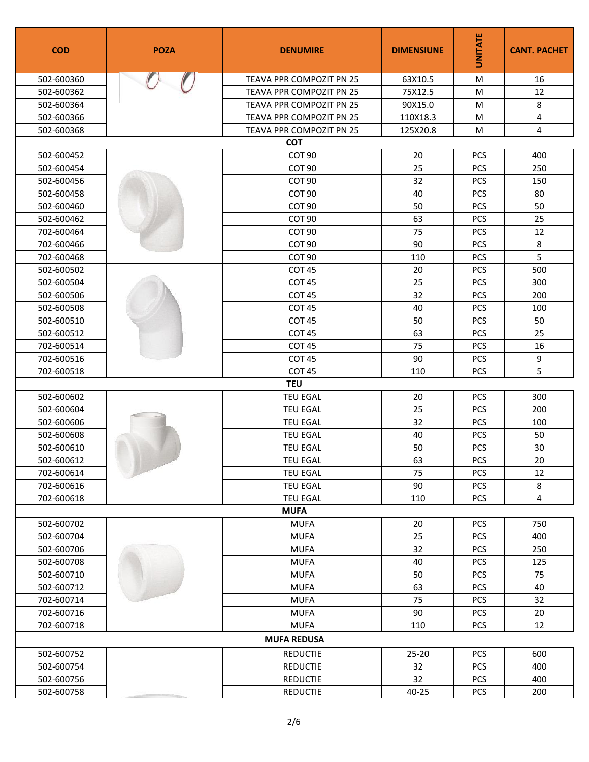| <b>COD</b>         | <b>POZA</b> | <b>DENUMIRE</b>          | <b>DIMENSIUNE</b> | <b>UNITATE</b> | <b>CANT. PACHET</b> |  |  |
|--------------------|-------------|--------------------------|-------------------|----------------|---------------------|--|--|
| 502-600360         |             | TEAVA PPR COMPOZIT PN 25 | 63X10.5           | M              | 16                  |  |  |
| 502-600362         |             | TEAVA PPR COMPOZIT PN 25 | 75X12.5           | M              | 12                  |  |  |
| 502-600364         |             | TEAVA PPR COMPOZIT PN 25 | 90X15.0           | M              | 8                   |  |  |
| 502-600366         |             | TEAVA PPR COMPOZIT PN 25 | 110X18.3          | M              | 4                   |  |  |
| 502-600368         |             | TEAVA PPR COMPOZIT PN 25 | 125X20.8          | M              | 4                   |  |  |
|                    |             | <b>COT</b>               |                   |                |                     |  |  |
| 502-600452         |             | COT 90                   | 20                | <b>PCS</b>     | 400                 |  |  |
| 502-600454         |             | COT <sub>90</sub>        | 25                | PCS            | 250                 |  |  |
| 502-600456         |             | COT <sub>90</sub>        | 32                | <b>PCS</b>     | 150                 |  |  |
| 502-600458         |             | COT 90                   | 40                | PCS            | 80                  |  |  |
| 502-600460         |             | COT <sub>90</sub>        | 50                | <b>PCS</b>     | 50                  |  |  |
| 502-600462         |             | COT <sub>90</sub>        | 63                | PCS            | 25                  |  |  |
| 702-600464         |             | COT 90                   | 75                | PCS            | 12                  |  |  |
| 702-600466         |             | COT 90                   | 90                | PCS            | 8                   |  |  |
| 702-600468         |             | COT <sub>90</sub>        | 110               | PCS            | 5                   |  |  |
| 502-600502         |             | COT 45                   | 20                | PCS            | 500                 |  |  |
| 502-600504         |             | COT <sub>45</sub>        | 25                | <b>PCS</b>     | 300                 |  |  |
| 502-600506         |             | COT <sub>45</sub>        | 32                | <b>PCS</b>     | 200                 |  |  |
| 502-600508         |             | COT <sub>45</sub>        | 40                | <b>PCS</b>     | 100                 |  |  |
| 502-600510         |             | COT 45                   | 50                | PCS            | 50                  |  |  |
| 502-600512         |             | COT 45                   | 63                | <b>PCS</b>     | 25                  |  |  |
| 702-600514         |             | COT <sub>45</sub>        | 75                | <b>PCS</b>     | 16                  |  |  |
| 702-600516         |             | COT <sub>45</sub>        | 90                | PCS            | 9                   |  |  |
| 702-600518         |             | COT <sub>45</sub>        | 110               | <b>PCS</b>     | 5                   |  |  |
| <b>TEU</b>         |             |                          |                   |                |                     |  |  |
| 502-600602         |             | <b>TEU EGAL</b>          | 20                | PCS            | 300                 |  |  |
| 502-600604         |             | <b>TEU EGAL</b>          | 25                | PCS            | 200                 |  |  |
| 502-600606         |             | <b>TEU EGAL</b>          | 32                | <b>PCS</b>     | 100                 |  |  |
| 502-600608         |             | <b>TEU EGAL</b>          | 40                | PCS            | 50                  |  |  |
| 502-600610         |             | <b>TEU EGAL</b>          | 50                | <b>PCS</b>     | 30                  |  |  |
| 502-600612         |             | TEU EGAL                 | 63                | PCS            | $20\,$              |  |  |
| 702-600614         |             | <b>TEU EGAL</b>          | 75                | <b>PCS</b>     | 12                  |  |  |
| 702-600616         |             | <b>TEU EGAL</b>          | 90                | PCS            | 8                   |  |  |
| 702-600618         |             | <b>TEU EGAL</b>          | 110               | <b>PCS</b>     | 4                   |  |  |
| <b>MUFA</b>        |             |                          |                   |                |                     |  |  |
| 502-600702         |             | <b>MUFA</b>              | 20                | <b>PCS</b>     | 750                 |  |  |
| 502-600704         |             | <b>MUFA</b>              | 25                | <b>PCS</b>     | 400                 |  |  |
| 502-600706         |             | <b>MUFA</b>              | 32                | PCS            | 250                 |  |  |
| 502-600708         |             | <b>MUFA</b>              | 40                | <b>PCS</b>     | 125                 |  |  |
| 502-600710         |             | <b>MUFA</b>              | 50                | PCS            | 75                  |  |  |
| 502-600712         |             | <b>MUFA</b>              | 63                | <b>PCS</b>     | 40                  |  |  |
| 702-600714         |             | <b>MUFA</b>              | 75                | <b>PCS</b>     | 32                  |  |  |
| 702-600716         |             | <b>MUFA</b>              | 90                | PCS            | 20                  |  |  |
| 702-600718         |             | <b>MUFA</b>              | 110               | <b>PCS</b>     | 12                  |  |  |
| <b>MUFA REDUSA</b> |             |                          |                   |                |                     |  |  |
| 502-600752         |             | <b>REDUCTIE</b>          | $25 - 20$         | <b>PCS</b>     | 600                 |  |  |
| 502-600754         |             | <b>REDUCTIE</b>          | 32                | PCS            | 400                 |  |  |
| 502-600756         |             | <b>REDUCTIE</b>          | 32                | <b>PCS</b>     | 400                 |  |  |
| 502-600758         |             | <b>REDUCTIE</b>          | 40-25             | PCS            | 200                 |  |  |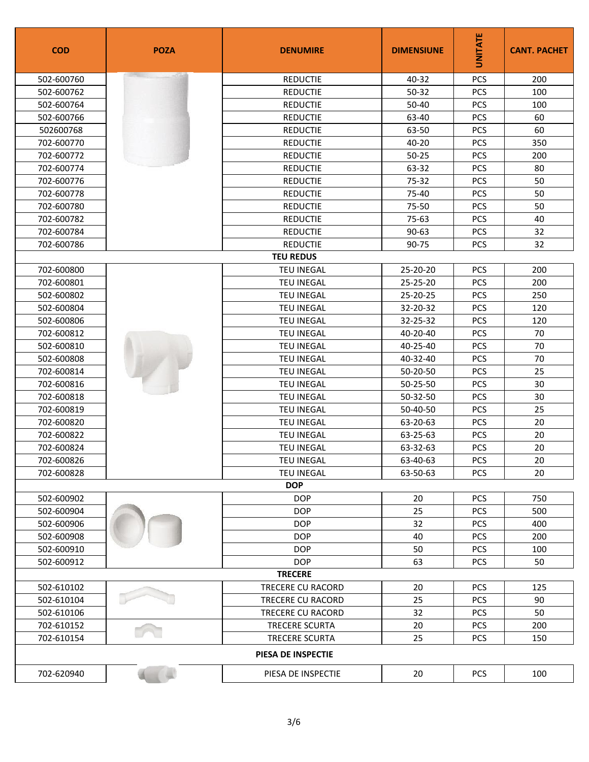| <b>COD</b>         | <b>POZA</b> | <b>DENUMIRE</b>       | <b>DIMENSIUNE</b> | <b>UNITATE</b> | <b>CANT. PACHET</b> |  |
|--------------------|-------------|-----------------------|-------------------|----------------|---------------------|--|
| 502-600760         |             | <b>REDUCTIE</b>       | 40-32             | PCS            | 200                 |  |
| 502-600762         |             | <b>REDUCTIE</b>       | 50-32             | PCS            | 100                 |  |
| 502-600764         |             | <b>REDUCTIE</b>       | 50-40             | PCS            | 100                 |  |
| 502-600766         |             | <b>REDUCTIE</b>       | 63-40             | PCS            | 60                  |  |
| 502600768          |             | <b>REDUCTIE</b>       | 63-50             | <b>PCS</b>     | 60                  |  |
| 702-600770         |             | <b>REDUCTIE</b>       | 40-20             | <b>PCS</b>     | 350                 |  |
| 702-600772         |             | <b>REDUCTIE</b>       | $50 - 25$         | PCS            | 200                 |  |
| 702-600774         |             | <b>REDUCTIE</b>       | 63-32             | PCS            | 80                  |  |
| 702-600776         |             | <b>REDUCTIE</b>       | 75-32             | PCS            | 50                  |  |
| 702-600778         |             | <b>REDUCTIE</b>       | 75-40             | PCS            | 50                  |  |
| 702-600780         |             | <b>REDUCTIE</b>       | 75-50             | <b>PCS</b>     | 50                  |  |
| 702-600782         |             | <b>REDUCTIE</b>       | 75-63             | PCS            | 40                  |  |
| 702-600784         |             | <b>REDUCTIE</b>       | $90 - 63$         | PCS            | 32                  |  |
| 702-600786         |             | <b>REDUCTIE</b>       | 90-75             | PCS            | 32                  |  |
|                    |             | <b>TEU REDUS</b>      |                   |                |                     |  |
| 702-600800         |             | <b>TEU INEGAL</b>     | 25-20-20          | <b>PCS</b>     | 200                 |  |
| 702-600801         |             | <b>TEU INEGAL</b>     | 25-25-20          | PCS            | 200                 |  |
| 502-600802         |             | <b>TEU INEGAL</b>     | 25-20-25          | <b>PCS</b>     | 250                 |  |
| 502-600804         |             | <b>TEU INEGAL</b>     | 32-20-32          | PCS            | 120                 |  |
| 502-600806         |             | <b>TEU INEGAL</b>     | 32-25-32          | <b>PCS</b>     | 120                 |  |
| 702-600812         |             | <b>TEU INEGAL</b>     | 40-20-40          | PCS            | 70                  |  |
| 502-600810         |             | <b>TEU INEGAL</b>     | 40-25-40          | PCS            | 70                  |  |
| 502-600808         |             | <b>TEU INEGAL</b>     | 40-32-40          | <b>PCS</b>     | 70                  |  |
| 702-600814         |             | <b>TEU INEGAL</b>     | 50-20-50          | PCS            | 25                  |  |
| 702-600816         |             | <b>TEU INEGAL</b>     | 50-25-50          | <b>PCS</b>     | 30                  |  |
| 702-600818         |             | <b>TEU INEGAL</b>     | 50-32-50          | <b>PCS</b>     | 30                  |  |
| 702-600819         |             | <b>TEU INEGAL</b>     | 50-40-50          | <b>PCS</b>     | 25                  |  |
| 702-600820         |             | <b>TEU INEGAL</b>     | 63-20-63          | PCS            | 20                  |  |
| 702-600822         |             | <b>TEU INEGAL</b>     | 63-25-63          | PCS            | 20                  |  |
| 702-600824         |             | <b>TEU INEGAL</b>     | 63-32-63          | <b>PCS</b>     | 20                  |  |
| 702-600826         |             | TEU INEGAL            | 63-40-63          | PCS            | 20                  |  |
| 702-600828         |             | <b>TEU INEGAL</b>     | 63-50-63          | <b>PCS</b>     | 20                  |  |
| <b>DOP</b>         |             |                       |                   |                |                     |  |
| 502-600902         |             | <b>DOP</b>            | 20                | PCS            | 750                 |  |
| 502-600904         |             | <b>DOP</b>            | 25                | <b>PCS</b>     | 500                 |  |
| 502-600906         |             | <b>DOP</b>            | 32                | <b>PCS</b>     | 400                 |  |
| 502-600908         |             | <b>DOP</b>            | 40                | PCS            | 200                 |  |
| 502-600910         |             | <b>DOP</b>            | 50                | <b>PCS</b>     | 100                 |  |
| 502-600912         |             | <b>DOP</b>            | 63                | PCS            | 50                  |  |
|                    |             | <b>TRECERE</b>        |                   |                |                     |  |
| 502-610102         |             | TRECERE CU RACORD     | 20                | <b>PCS</b>     | 125                 |  |
| 502-610104         |             | TRECERE CU RACORD     | 25                | <b>PCS</b>     | 90                  |  |
| 502-610106         |             | TRECERE CU RACORD     | 32                | <b>PCS</b>     | 50                  |  |
| 702-610152         |             | <b>TRECERE SCURTA</b> | 20                | <b>PCS</b>     | 200                 |  |
| 702-610154         |             | <b>TRECERE SCURTA</b> | 25                | <b>PCS</b>     | 150                 |  |
| PIESA DE INSPECTIE |             |                       |                   |                |                     |  |
| 702-620940         |             | PIESA DE INSPECTIE    | 20                | <b>PCS</b>     | 100                 |  |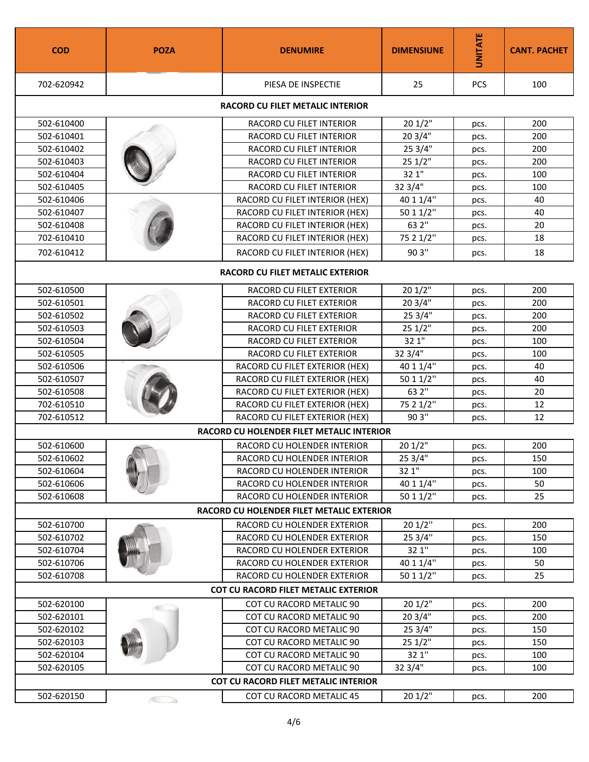| <b>COD</b>                                  | <b>POZA</b> | <b>DENUMIRE</b>                                  | <b>DIMENSIUNE</b> | UNITATE | <b>CANT. PACHET</b> |  |
|---------------------------------------------|-------------|--------------------------------------------------|-------------------|---------|---------------------|--|
| 702-620942                                  |             | PIESA DE INSPECTIE                               | 25                | PCS     | 100                 |  |
|                                             |             | RACORD CU FILET METALIC INTERIOR                 |                   |         |                     |  |
| 502-610400                                  |             | RACORD CU FILET INTERIOR                         | 201/2"            | pcs.    | 200                 |  |
| 502-610401                                  |             | RACORD CU FILET INTERIOR                         | 20 3/4"           | pcs.    | 200                 |  |
| 502-610402                                  |             | RACORD CU FILET INTERIOR                         | 25 3/4"           | pcs.    | 200                 |  |
| 502-610403                                  |             | RACORD CU FILET INTERIOR                         | 251/2"            | pcs.    | 200                 |  |
| 502-610404                                  |             | RACORD CU FILET INTERIOR                         | 32 1"             | pcs.    | 100                 |  |
| 502-610405                                  |             | RACORD CU FILET INTERIOR                         | 32 3/4"           | pcs.    | 100                 |  |
| 502-610406                                  |             | RACORD CU FILET INTERIOR (HEX)                   | 40 1 1/4"         | pcs.    | 40                  |  |
| 502-610407                                  |             | RACORD CU FILET INTERIOR (HEX)                   | 50 1 1/2"         | pcs.    | 40                  |  |
| 502-610408                                  |             | RACORD CU FILET INTERIOR (HEX)                   | 63 2"             | pcs.    | 20                  |  |
| 702-610410                                  |             | RACORD CU FILET INTERIOR (HEX)                   | 75 2 1/2"         | pcs.    | 18                  |  |
| 702-610412                                  |             | RACORD CU FILET INTERIOR (HEX)                   | 90 3"             | pcs.    | 18                  |  |
|                                             |             | RACORD CU FILET METALIC EXTERIOR                 |                   |         |                     |  |
| 502-610500                                  |             | RACORD CU FILET EXTERIOR                         | 201/2"            | pcs.    | 200                 |  |
| 502-610501                                  |             | RACORD CU FILET EXTERIOR                         | 20 3/4"           | pcs.    | 200                 |  |
| 502-610502                                  |             | RACORD CU FILET EXTERIOR                         | 25 3/4"           | pcs.    | 200                 |  |
| 502-610503                                  |             | RACORD CU FILET EXTERIOR                         | 25 1/2"           | pcs.    | 200                 |  |
| 502-610504                                  |             | RACORD CU FILET EXTERIOR                         | 32 1"             | pcs.    | 100                 |  |
| 502-610505                                  |             | RACORD CU FILET EXTERIOR                         | 32 3/4"           | pcs.    | 100                 |  |
| 502-610506                                  |             | RACORD CU FILET EXTERIOR (HEX)                   | 40 1 1/4"         | pcs.    | 40                  |  |
| 502-610507                                  |             | RACORD CU FILET EXTERIOR (HEX)                   | 50 1 1/2"         | pcs.    | 40                  |  |
| 502-610508                                  |             | RACORD CU FILET EXTERIOR (HEX)                   | 63 2"             | pcs.    | 20                  |  |
| 702-610510                                  |             | RACORD CU FILET EXTERIOR (HEX)                   | 75 2 1/2"         | pcs.    | 12                  |  |
| 702-610512                                  |             | RACORD CU FILET EXTERIOR (HEX)                   | 90 3"             | pcs.    | 12                  |  |
|                                             |             | <b>RACORD CU HOLENDER FILET METALIC INTERIOR</b> |                   |         |                     |  |
| 502-610600                                  |             | RACORD CU HOLENDER INTERIOR                      | 20 1/2"           | pcs.    | 200                 |  |
| 502-610602                                  |             | RACORD CU HOLENDER INTERIOR                      | 253/4             | pcs.    | 150                 |  |
| 502-610604                                  |             | RACORD CU HOLENDER INTERIOR                      | 32 1"             | pcs.    | 100                 |  |
| 502-610606                                  |             | RACORD CU HOLENDER INTERIOR                      | 40 1 1/4"         | pcs.    | 50                  |  |
| 502-610608                                  |             | RACORD CU HOLENDER INTERIOR                      | 50 1 1/2"         | pcs.    | 25                  |  |
| RACORD CU HOLENDER FILET METALIC EXTERIOR   |             |                                                  |                   |         |                     |  |
| 502-610700                                  |             | RACORD CU HOLENDER EXTERIOR                      | 20 1/2"           | pcs.    | 200                 |  |
| 502-610702                                  |             | RACORD CU HOLENDER EXTERIOR                      | 25 3/4"           | pcs.    | 150                 |  |
| 502-610704                                  |             | RACORD CU HOLENDER EXTERIOR                      | 32 1"             | pcs.    | 100                 |  |
| 502-610706                                  |             | RACORD CU HOLENDER EXTERIOR                      | 40 1 1/4"         | pcs.    | 50                  |  |
| 502-610708                                  |             | RACORD CU HOLENDER EXTERIOR                      | 50 1 1/2"         | pcs.    | 25                  |  |
| <b>COT CU RACORD FILET METALIC EXTERIOR</b> |             |                                                  |                   |         |                     |  |
| 502-620100                                  |             | COT CU RACORD METALIC 90                         | 201/2"            | pcs.    | 200                 |  |
| 502-620101                                  |             | COT CU RACORD METALIC 90                         | 20 3/4"           | pcs.    | 200                 |  |
| 502-620102                                  |             | COT CU RACORD METALIC 90                         | 25 3/4"           | pcs.    | 150                 |  |
| 502-620103                                  |             | COT CU RACORD METALIC 90                         | 25 1/2"           | pcs.    | 150                 |  |
| 502-620104                                  |             | COT CU RACORD METALIC 90                         | 32 1"             | pcs.    | 100                 |  |
| 502-620105                                  |             | COT CU RACORD METALIC 90                         | 32 3/4"           | pcs.    | 100                 |  |
| <b>COT CU RACORD FILET METALIC INTERIOR</b> |             |                                                  |                   |         |                     |  |
| 502-620150                                  |             | COT CU RACORD METALIC 45                         | 20 1/2"           | pcs.    | 200                 |  |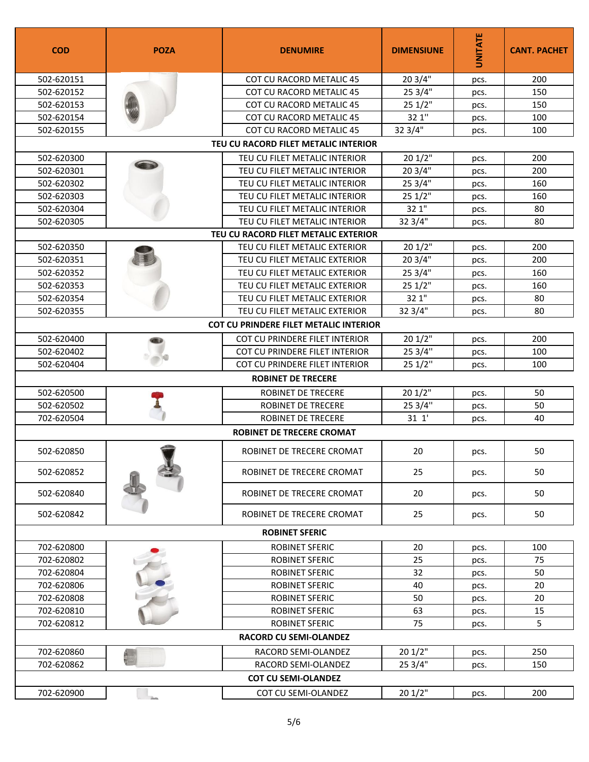| <b>COD</b>                    | <b>POZA</b>               | <b>DENUMIRE</b>                               | <b>DIMENSIUNE</b> | <b>UNITATE</b> | <b>CANT. PACHET</b> |  |  |
|-------------------------------|---------------------------|-----------------------------------------------|-------------------|----------------|---------------------|--|--|
| 502-620151                    |                           | COT CU RACORD METALIC 45                      | 20 3/4"           | pcs.           | 200                 |  |  |
| 502-620152                    |                           | <b>COT CU RACORD METALIC 45</b>               | 25 3/4"           | pcs.           | 150                 |  |  |
| 502-620153                    |                           | <b>COT CU RACORD METALIC 45</b>               | 251/2"            | pcs.           | 150                 |  |  |
| 502-620154                    |                           | COT CU RACORD METALIC 45                      | 32 1"             | pcs.           | 100                 |  |  |
| 502-620155                    |                           | COT CU RACORD METALIC 45                      | 32 3/4"           | pcs.           | 100                 |  |  |
|                               |                           | TEU CU RACORD FILET METALIC INTERIOR          |                   |                |                     |  |  |
| 502-620300                    |                           | TEU CU FILET METALIC INTERIOR                 | 201/2"            | pcs.           | 200                 |  |  |
| 502-620301                    |                           | TEU CU FILET METALIC INTERIOR                 | 20 3/4"           | pcs.           | 200                 |  |  |
| 502-620302                    |                           | TEU CU FILET METALIC INTERIOR                 | 25 3/4"           | pcs.           | 160                 |  |  |
| 502-620303                    |                           | TEU CU FILET METALIC INTERIOR                 | 251/2"            | pcs.           | 160                 |  |  |
| 502-620304                    |                           | TEU CU FILET METALIC INTERIOR                 | 32 1"             | pcs.           | 80                  |  |  |
| 502-620305                    |                           | TEU CU FILET METALIC INTERIOR                 | 32 3/4"           | pcs.           | 80                  |  |  |
|                               |                           | TEU CU RACORD FILET METALIC EXTERIOR          |                   |                |                     |  |  |
| 502-620350                    |                           | TEU CU FILET METALIC EXTERIOR                 | 201/2"            | pcs.           | 200                 |  |  |
| 502-620351                    |                           | TEU CU FILET METALIC EXTERIOR                 | 20 3/4"           | pcs.           | 200                 |  |  |
| 502-620352                    |                           | TEU CU FILET METALIC EXTERIOR                 | 25 3/4"           | pcs.           | 160                 |  |  |
| 502-620353                    |                           | TEU CU FILET METALIC EXTERIOR                 | 251/2"            | pcs.           | 160                 |  |  |
| 502-620354                    |                           | TEU CU FILET METALIC EXTERIOR                 | 32 1"             | pcs.           | 80                  |  |  |
| 502-620355                    |                           | TEU CU FILET METALIC EXTERIOR                 | 32 3/4"           | pcs.           | 80                  |  |  |
|                               |                           | <b>COT CU PRINDERE FILET METALIC INTERIOR</b> |                   |                |                     |  |  |
| 502-620400                    |                           | COT CU PRINDERE FILET INTERIOR                | 201/2"            | pcs.           | 200                 |  |  |
| 502-620402                    |                           | COT CU PRINDERE FILET INTERIOR                | 25 3/4"           | pcs.           | 100                 |  |  |
| 502-620404                    |                           | COT CU PRINDERE FILET INTERIOR                | 251/2"            | pcs.           | 100                 |  |  |
|                               | <b>ROBINET DE TRECERE</b> |                                               |                   |                |                     |  |  |
| 502-620500                    |                           | <b>ROBINET DE TRECERE</b>                     | 20 1/2"           | pcs.           | 50                  |  |  |
| 502-620502                    |                           | <b>ROBINET DE TRECERE</b>                     | 25 3/4"           | pcs.           | 50                  |  |  |
| 702-620504                    |                           | ROBINET DE TRECERE                            | 311'              | pcs.           | 40                  |  |  |
|                               |                           | <b>ROBINET DE TRECERE CROMAT</b>              |                   |                |                     |  |  |
| 502-620850                    |                           | ROBINET DE TRECERE CROMAT                     | 20                | pcs.           | 50                  |  |  |
| 502-620852                    |                           | ROBINET DE TRECERE CROMAT                     | 25                | pcs.           | 50                  |  |  |
| 502-620840                    |                           | ROBINET DE TRECERE CROMAT                     | 20                | pcs.           | 50                  |  |  |
| 502-620842                    |                           | ROBINET DE TRECERE CROMAT                     | 25                | pcs.           | 50                  |  |  |
| <b>ROBINET SFERIC</b>         |                           |                                               |                   |                |                     |  |  |
| 702-620800                    |                           | <b>ROBINET SFERIC</b>                         | 20                | pcs.           | 100                 |  |  |
| 702-620802                    |                           | ROBINET SFERIC                                | 25                | pcs.           | 75                  |  |  |
| 702-620804                    |                           | <b>ROBINET SFERIC</b>                         | 32                | pcs.           | 50                  |  |  |
| 702-620806                    |                           | ROBINET SFERIC                                | 40                | pcs.           | 20                  |  |  |
| 702-620808                    |                           | ROBINET SFERIC                                | 50                | pcs.           | 20                  |  |  |
| 702-620810                    |                           | <b>ROBINET SFERIC</b>                         | 63                | pcs.           | 15                  |  |  |
| 702-620812                    |                           | ROBINET SFERIC                                | 75                | pcs.           | 5                   |  |  |
| <b>RACORD CU SEMI-OLANDEZ</b> |                           |                                               |                   |                |                     |  |  |
| 702-620860                    |                           | RACORD SEMI-OLANDEZ                           | 201/2"            | pcs.           | 250                 |  |  |
| 702-620862                    |                           | RACORD SEMI-OLANDEZ                           | 25 3/4"           | pcs.           | 150                 |  |  |
| <b>COT CU SEMI-OLANDEZ</b>    |                           |                                               |                   |                |                     |  |  |
| 702-620900                    | ihra.                     | COT CU SEMI-OLANDEZ                           | 201/2"            | pcs.           | 200                 |  |  |